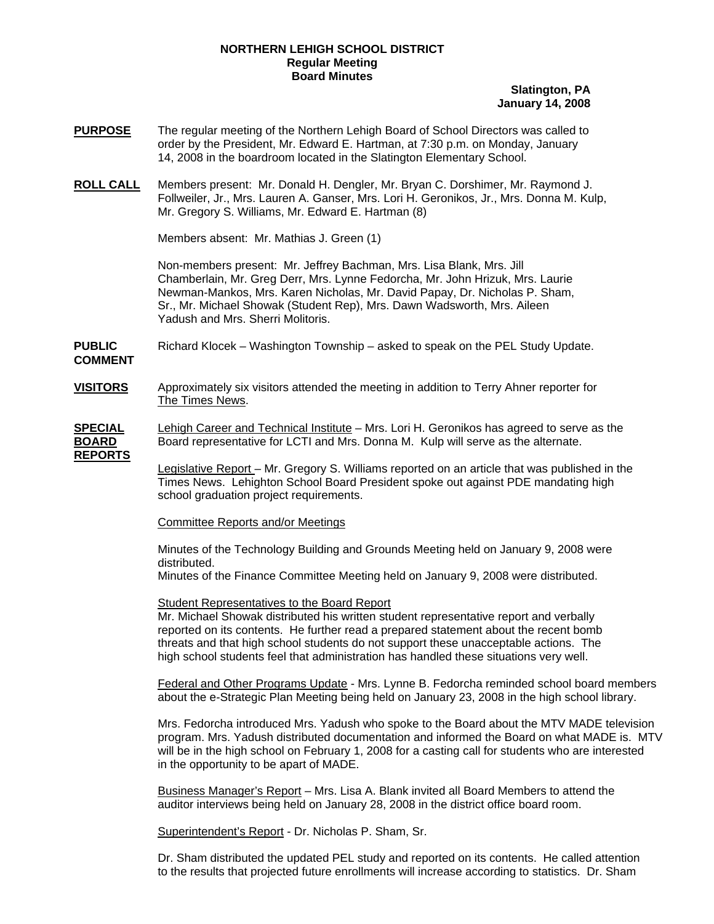#### **NORTHERN LEHIGH SCHOOL DISTRICT Regular Meeting Board Minutes**

### **Slatington, PA January 14, 2008**

- **PURPOSE** The regular meeting of the Northern Lehigh Board of School Directors was called to order by the President, Mr. Edward E. Hartman, at 7:30 p.m. on Monday, January 14, 2008 in the boardroom located in the Slatington Elementary School.
- **ROLL CALL** Members present: Mr. Donald H. Dengler, Mr. Bryan C. Dorshimer, Mr. Raymond J. Follweiler, Jr., Mrs. Lauren A. Ganser, Mrs. Lori H. Geronikos, Jr., Mrs. Donna M. Kulp, Mr. Gregory S. Williams, Mr. Edward E. Hartman (8)

Members absent: Mr. Mathias J. Green (1)

Non-members present: Mr. Jeffrey Bachman, Mrs. Lisa Blank, Mrs. Jill Chamberlain, Mr. Greg Derr, Mrs. Lynne Fedorcha, Mr. John Hrizuk, Mrs. Laurie Newman-Mankos, Mrs. Karen Nicholas, Mr. David Papay, Dr. Nicholas P. Sham, Sr., Mr. Michael Showak (Student Rep), Mrs. Dawn Wadsworth, Mrs. Aileen Yadush and Mrs. Sherri Molitoris.

**PUBLIC** Richard Klocek – Washington Township – asked to speak on the PEL Study Update. **COMMENT** 

**VISITORS** Approximately six visitors attended the meeting in addition to Terry Ahner reporter for The Times News.

**SPECIAL** Lehigh Career and Technical Institute – Mrs. Lori H. Geronikos has agreed to serve as the **BOARD** Board representative for LCTI and Mrs. Donna M. Kulp will serve as the alternate. **REPORTS**

> Legislative Report – Mr. Gregory S. Williams reported on an article that was published in the Times News. Lehighton School Board President spoke out against PDE mandating high school graduation project requirements.

Committee Reports and/or Meetings

Minutes of the Technology Building and Grounds Meeting held on January 9, 2008 were distributed.

Minutes of the Finance Committee Meeting held on January 9, 2008 were distributed.

Student Representatives to the Board Report

Mr. Michael Showak distributed his written student representative report and verbally reported on its contents. He further read a prepared statement about the recent bomb threats and that high school students do not support these unacceptable actions. The high school students feel that administration has handled these situations very well.

Federal and Other Programs Update - Mrs. Lynne B. Fedorcha reminded school board members about the e-Strategic Plan Meeting being held on January 23, 2008 in the high school library.

 Mrs. Fedorcha introduced Mrs. Yadush who spoke to the Board about the MTV MADE television program. Mrs. Yadush distributed documentation and informed the Board on what MADE is. MTV will be in the high school on February 1, 2008 for a casting call for students who are interested in the opportunity to be apart of MADE.

 Business Manager's Report – Mrs. Lisa A. Blank invited all Board Members to attend the auditor interviews being held on January 28, 2008 in the district office board room.

Superintendent's Report - Dr. Nicholas P. Sham, Sr.

 Dr. Sham distributed the updated PEL study and reported on its contents. He called attention to the results that projected future enrollments will increase according to statistics. Dr. Sham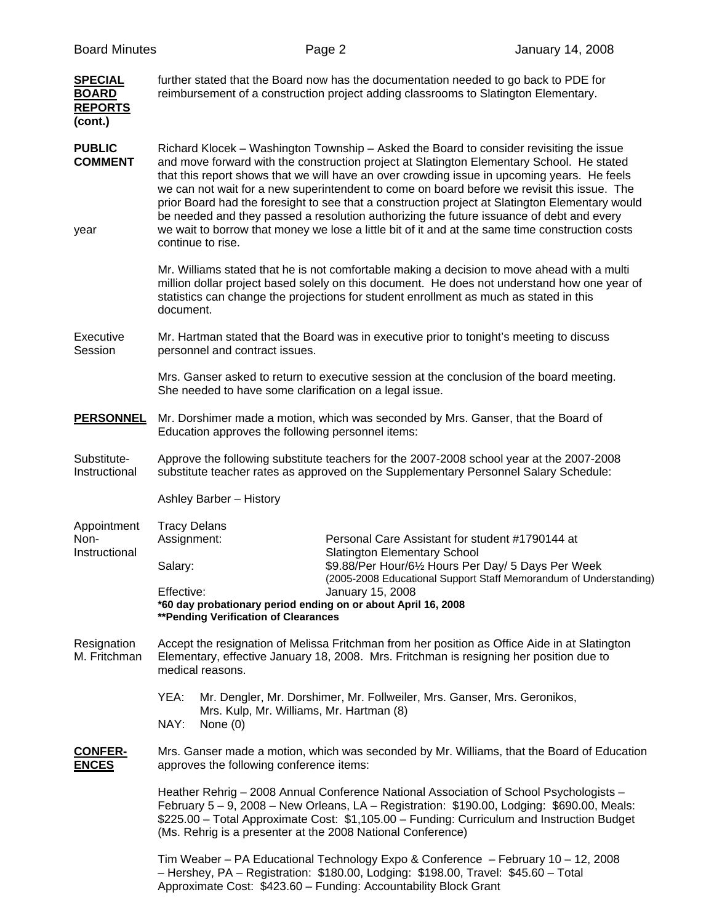| <b>Board Minutes</b>                      |                                                                                                                                                                                                                                                                                                                                                                                                                                                                                                                                                                                                                                                                                                           |                                                                                       |                                                                                                                                                                                             |  |  |  |  |
|-------------------------------------------|-----------------------------------------------------------------------------------------------------------------------------------------------------------------------------------------------------------------------------------------------------------------------------------------------------------------------------------------------------------------------------------------------------------------------------------------------------------------------------------------------------------------------------------------------------------------------------------------------------------------------------------------------------------------------------------------------------------|---------------------------------------------------------------------------------------|---------------------------------------------------------------------------------------------------------------------------------------------------------------------------------------------|--|--|--|--|
| <b>SPECIAL</b>                            |                                                                                                                                                                                                                                                                                                                                                                                                                                                                                                                                                                                                                                                                                                           | Page 2                                                                                | January 14, 2008                                                                                                                                                                            |  |  |  |  |
| <b>BOARD</b><br><b>REPORTS</b><br>(cont.) | further stated that the Board now has the documentation needed to go back to PDE for<br>reimbursement of a construction project adding classrooms to Slatington Elementary.                                                                                                                                                                                                                                                                                                                                                                                                                                                                                                                               |                                                                                       |                                                                                                                                                                                             |  |  |  |  |
| <b>PUBLIC</b><br><b>COMMENT</b><br>year   | Richard Klocek – Washington Township – Asked the Board to consider revisiting the issue<br>and move forward with the construction project at Slatington Elementary School. He stated<br>that this report shows that we will have an over crowding issue in upcoming years. He feels<br>we can not wait for a new superintendent to come on board before we revisit this issue. The<br>prior Board had the foresight to see that a construction project at Slatington Elementary would<br>be needed and they passed a resolution authorizing the future issuance of debt and every<br>we wait to borrow that money we lose a little bit of it and at the same time construction costs<br>continue to rise. |                                                                                       |                                                                                                                                                                                             |  |  |  |  |
|                                           | statistics can change the projections for student enrollment as much as stated in this<br>document.                                                                                                                                                                                                                                                                                                                                                                                                                                                                                                                                                                                                       |                                                                                       | Mr. Williams stated that he is not comfortable making a decision to move ahead with a multi<br>million dollar project based solely on this document. He does not understand how one year of |  |  |  |  |
| Executive<br>Session                      | Mr. Hartman stated that the Board was in executive prior to tonight's meeting to discuss<br>personnel and contract issues.                                                                                                                                                                                                                                                                                                                                                                                                                                                                                                                                                                                |                                                                                       |                                                                                                                                                                                             |  |  |  |  |
|                                           | Mrs. Ganser asked to return to executive session at the conclusion of the board meeting.<br>She needed to have some clarification on a legal issue.                                                                                                                                                                                                                                                                                                                                                                                                                                                                                                                                                       |                                                                                       |                                                                                                                                                                                             |  |  |  |  |
| <b>PERSONNEL</b>                          | Mr. Dorshimer made a motion, which was seconded by Mrs. Ganser, that the Board of<br>Education approves the following personnel items:                                                                                                                                                                                                                                                                                                                                                                                                                                                                                                                                                                    |                                                                                       |                                                                                                                                                                                             |  |  |  |  |
| Substitute-<br>Instructional              | Approve the following substitute teachers for the 2007-2008 school year at the 2007-2008<br>substitute teacher rates as approved on the Supplementary Personnel Salary Schedule:                                                                                                                                                                                                                                                                                                                                                                                                                                                                                                                          |                                                                                       |                                                                                                                                                                                             |  |  |  |  |
|                                           | Ashley Barber - History                                                                                                                                                                                                                                                                                                                                                                                                                                                                                                                                                                                                                                                                                   |                                                                                       |                                                                                                                                                                                             |  |  |  |  |
| Appointment<br>Non-<br>Instructional      | <b>Tracy Delans</b><br>Personal Care Assistant for student #1790144 at                                                                                                                                                                                                                                                                                                                                                                                                                                                                                                                                                                                                                                    |                                                                                       |                                                                                                                                                                                             |  |  |  |  |
|                                           | Assignment:<br>Salary:                                                                                                                                                                                                                                                                                                                                                                                                                                                                                                                                                                                                                                                                                    | <b>Slatington Elementary School</b>                                                   | \$9.88/Per Hour/61/2 Hours Per Day/ 5 Days Per Week                                                                                                                                         |  |  |  |  |
|                                           | Effective:<br>*60 day probationary period ending on or about April 16, 2008<br>**Pending Verification of Clearances                                                                                                                                                                                                                                                                                                                                                                                                                                                                                                                                                                                       | (2005-2008 Educational Support Staff Memorandum of Understanding)<br>January 15, 2008 |                                                                                                                                                                                             |  |  |  |  |
| Resignation<br>M. Fritchman               | Accept the resignation of Melissa Fritchman from her position as Office Aide in at Slatington<br>Elementary, effective January 18, 2008. Mrs. Fritchman is resigning her position due to<br>medical reasons.                                                                                                                                                                                                                                                                                                                                                                                                                                                                                              |                                                                                       |                                                                                                                                                                                             |  |  |  |  |
|                                           | YEA:<br>Mr. Dengler, Mr. Dorshimer, Mr. Follweiler, Mrs. Ganser, Mrs. Geronikos,<br>Mrs. Kulp, Mr. Williams, Mr. Hartman (8)<br>NAY:<br>None $(0)$                                                                                                                                                                                                                                                                                                                                                                                                                                                                                                                                                        |                                                                                       |                                                                                                                                                                                             |  |  |  |  |
| <b>CONFER-</b><br><b>ENCES</b>            | Mrs. Ganser made a motion, which was seconded by Mr. Williams, that the Board of Education<br>approves the following conference items:                                                                                                                                                                                                                                                                                                                                                                                                                                                                                                                                                                    |                                                                                       |                                                                                                                                                                                             |  |  |  |  |
|                                           | Heather Rehrig - 2008 Annual Conference National Association of School Psychologists -<br>February 5 – 9, 2008 – New Orleans, LA – Registration: \$190.00, Lodging: \$690.00, Meals:<br>\$225.00 - Total Approximate Cost: \$1,105.00 - Funding: Curriculum and Instruction Budget<br>(Ms. Rehrig is a presenter at the 2008 National Conference)                                                                                                                                                                                                                                                                                                                                                         |                                                                                       |                                                                                                                                                                                             |  |  |  |  |
|                                           | - Hershey, PA - Registration: \$180.00, Lodging: \$198.00, Travel: \$45.60 - Total<br>Approximate Cost: \$423.60 - Funding: Accountability Block Grant                                                                                                                                                                                                                                                                                                                                                                                                                                                                                                                                                    |                                                                                       | Tim Weaber - PA Educational Technology Expo & Conference - February 10 - 12, 2008                                                                                                           |  |  |  |  |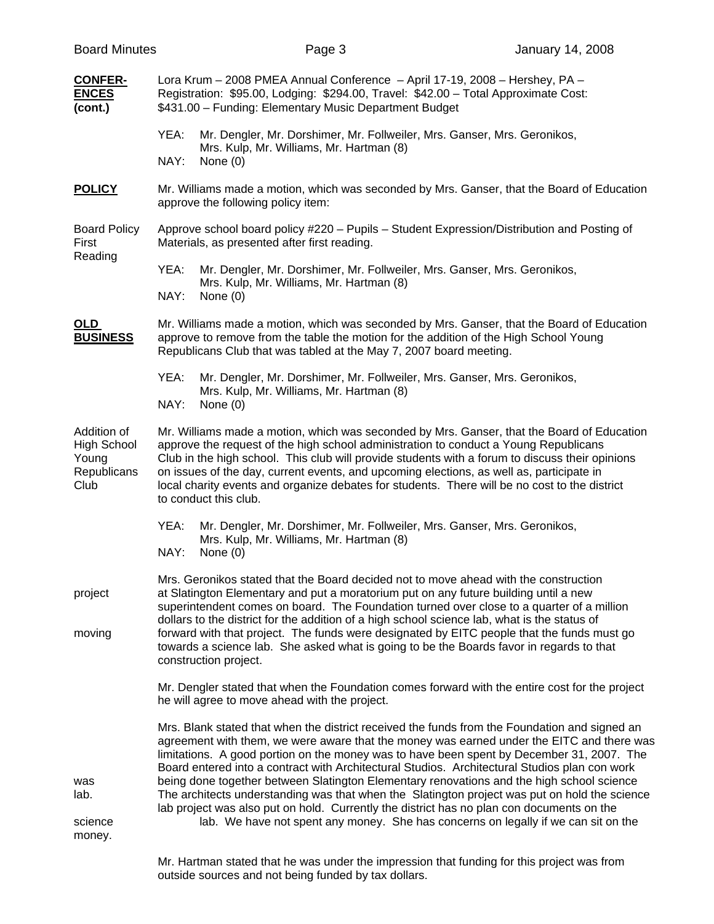| <b>Board Minutes</b>                                                                                                                                                                                                                                                                                                                                                                                                                                                                                                                                                                         | Page 3     | <b>January 14, 2008</b>                                                                                                                                                                                                                                                                                                                                                                                                                                                                                                                                                                                                                                                                                                                                                                                                                                                                                                                                                                                                                                                                                                                                                                                                                                                                                                |  |  |
|----------------------------------------------------------------------------------------------------------------------------------------------------------------------------------------------------------------------------------------------------------------------------------------------------------------------------------------------------------------------------------------------------------------------------------------------------------------------------------------------------------------------------------------------------------------------------------------------|------------|------------------------------------------------------------------------------------------------------------------------------------------------------------------------------------------------------------------------------------------------------------------------------------------------------------------------------------------------------------------------------------------------------------------------------------------------------------------------------------------------------------------------------------------------------------------------------------------------------------------------------------------------------------------------------------------------------------------------------------------------------------------------------------------------------------------------------------------------------------------------------------------------------------------------------------------------------------------------------------------------------------------------------------------------------------------------------------------------------------------------------------------------------------------------------------------------------------------------------------------------------------------------------------------------------------------------|--|--|
|                                                                                                                                                                                                                                                                                                                                                                                                                                                                                                                                                                                              |            |                                                                                                                                                                                                                                                                                                                                                                                                                                                                                                                                                                                                                                                                                                                                                                                                                                                                                                                                                                                                                                                                                                                                                                                                                                                                                                                        |  |  |
| YEA:<br>NAY:                                                                                                                                                                                                                                                                                                                                                                                                                                                                                                                                                                                 | None $(0)$ |                                                                                                                                                                                                                                                                                                                                                                                                                                                                                                                                                                                                                                                                                                                                                                                                                                                                                                                                                                                                                                                                                                                                                                                                                                                                                                                        |  |  |
| Mr. Williams made a motion, which was seconded by Mrs. Ganser, that the Board of Education<br>approve the following policy item:                                                                                                                                                                                                                                                                                                                                                                                                                                                             |            |                                                                                                                                                                                                                                                                                                                                                                                                                                                                                                                                                                                                                                                                                                                                                                                                                                                                                                                                                                                                                                                                                                                                                                                                                                                                                                                        |  |  |
| Approve school board policy #220 - Pupils - Student Expression/Distribution and Posting of<br>Materials, as presented after first reading.                                                                                                                                                                                                                                                                                                                                                                                                                                                   |            |                                                                                                                                                                                                                                                                                                                                                                                                                                                                                                                                                                                                                                                                                                                                                                                                                                                                                                                                                                                                                                                                                                                                                                                                                                                                                                                        |  |  |
| YEA:<br>NAY:                                                                                                                                                                                                                                                                                                                                                                                                                                                                                                                                                                                 | None $(0)$ |                                                                                                                                                                                                                                                                                                                                                                                                                                                                                                                                                                                                                                                                                                                                                                                                                                                                                                                                                                                                                                                                                                                                                                                                                                                                                                                        |  |  |
| Mr. Williams made a motion, which was seconded by Mrs. Ganser, that the Board of Education<br>approve to remove from the table the motion for the addition of the High School Young<br>Republicans Club that was tabled at the May 7, 2007 board meeting.                                                                                                                                                                                                                                                                                                                                    |            |                                                                                                                                                                                                                                                                                                                                                                                                                                                                                                                                                                                                                                                                                                                                                                                                                                                                                                                                                                                                                                                                                                                                                                                                                                                                                                                        |  |  |
| YEA:<br>NAY:                                                                                                                                                                                                                                                                                                                                                                                                                                                                                                                                                                                 | None $(0)$ |                                                                                                                                                                                                                                                                                                                                                                                                                                                                                                                                                                                                                                                                                                                                                                                                                                                                                                                                                                                                                                                                                                                                                                                                                                                                                                                        |  |  |
| Mr. Williams made a motion, which was seconded by Mrs. Ganser, that the Board of Education<br>approve the request of the high school administration to conduct a Young Republicans<br>Club in the high school. This club will provide students with a forum to discuss their opinions<br>on issues of the day, current events, and upcoming elections, as well as, participate in<br>local charity events and organize debates for students. There will be no cost to the district<br>to conduct this club.                                                                                  |            |                                                                                                                                                                                                                                                                                                                                                                                                                                                                                                                                                                                                                                                                                                                                                                                                                                                                                                                                                                                                                                                                                                                                                                                                                                                                                                                        |  |  |
| YEA:<br>NAY:                                                                                                                                                                                                                                                                                                                                                                                                                                                                                                                                                                                 | None $(0)$ |                                                                                                                                                                                                                                                                                                                                                                                                                                                                                                                                                                                                                                                                                                                                                                                                                                                                                                                                                                                                                                                                                                                                                                                                                                                                                                                        |  |  |
| Mrs. Geronikos stated that the Board decided not to move ahead with the construction<br>at Slatington Elementary and put a moratorium put on any future building until a new<br>superintendent comes on board. The Foundation turned over close to a quarter of a million<br>dollars to the district for the addition of a high school science lab, what is the status of<br>forward with that project. The funds were designated by EITC people that the funds must go<br>towards a science lab. She asked what is going to be the Boards favor in regards to that<br>construction project. |            |                                                                                                                                                                                                                                                                                                                                                                                                                                                                                                                                                                                                                                                                                                                                                                                                                                                                                                                                                                                                                                                                                                                                                                                                                                                                                                                        |  |  |
| Mr. Dengler stated that when the Foundation comes forward with the entire cost for the project<br>he will agree to move ahead with the project.                                                                                                                                                                                                                                                                                                                                                                                                                                              |            |                                                                                                                                                                                                                                                                                                                                                                                                                                                                                                                                                                                                                                                                                                                                                                                                                                                                                                                                                                                                                                                                                                                                                                                                                                                                                                                        |  |  |
|                                                                                                                                                                                                                                                                                                                                                                                                                                                                                                                                                                                              |            | agreement with them, we were aware that the money was earned under the EITC and there was<br>lab. We have not spent any money. She has concerns on legally if we can sit on the                                                                                                                                                                                                                                                                                                                                                                                                                                                                                                                                                                                                                                                                                                                                                                                                                                                                                                                                                                                                                                                                                                                                        |  |  |
|                                                                                                                                                                                                                                                                                                                                                                                                                                                                                                                                                                                              |            | Lora Krum - 2008 PMEA Annual Conference - April 17-19, 2008 - Hershey, PA -<br>Registration: \$95.00, Lodging: \$294.00, Travel: \$42.00 - Total Approximate Cost:<br>\$431.00 - Funding: Elementary Music Department Budget<br>Mr. Dengler, Mr. Dorshimer, Mr. Follweiler, Mrs. Ganser, Mrs. Geronikos,<br>Mrs. Kulp, Mr. Williams, Mr. Hartman (8)<br>Mr. Dengler, Mr. Dorshimer, Mr. Follweiler, Mrs. Ganser, Mrs. Geronikos,<br>Mrs. Kulp, Mr. Williams, Mr. Hartman (8)<br>Mr. Dengler, Mr. Dorshimer, Mr. Follweiler, Mrs. Ganser, Mrs. Geronikos,<br>Mrs. Kulp, Mr. Williams, Mr. Hartman (8)<br>Mr. Dengler, Mr. Dorshimer, Mr. Follweiler, Mrs. Ganser, Mrs. Geronikos,<br>Mrs. Kulp, Mr. Williams, Mr. Hartman (8)<br>Mrs. Blank stated that when the district received the funds from the Foundation and signed an<br>limitations. A good portion on the money was to have been spent by December 31, 2007. The<br>Board entered into a contract with Architectural Studios. Architectural Studios plan con work<br>being done together between Slatington Elementary renovations and the high school science<br>The architects understanding was that when the Slatington project was put on hold the science<br>lab project was also put on hold. Currently the district has no plan con documents on the |  |  |

 Mr. Hartman stated that he was under the impression that funding for this project was from outside sources and not being funded by tax dollars.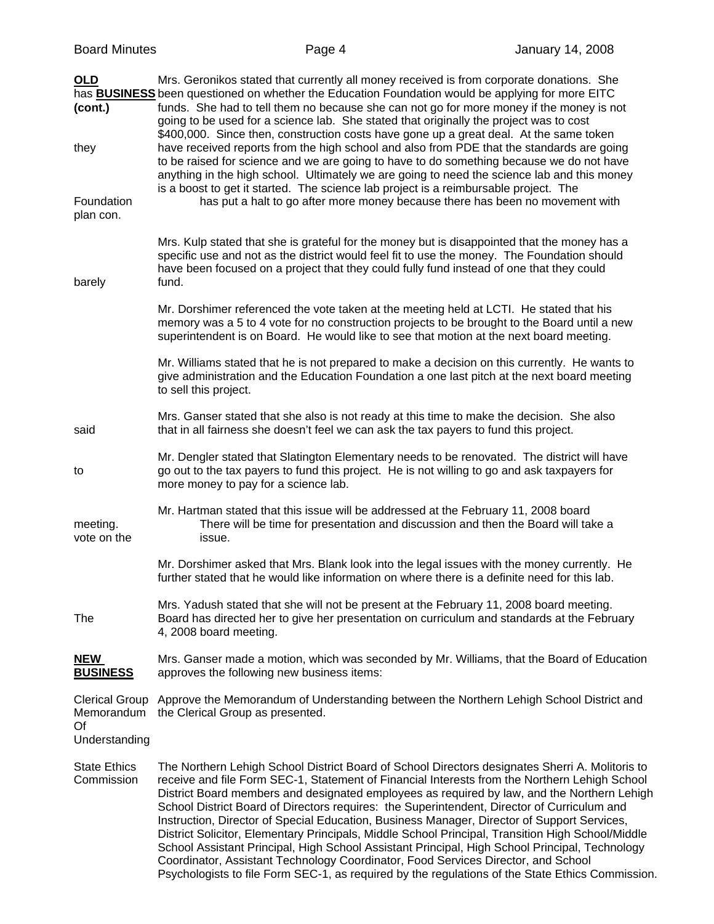|  | <b>Board Minutes</b> |
|--|----------------------|
|--|----------------------|

| <b>OLD</b><br>(cont.)<br>they                              | Mrs. Geronikos stated that currently all money received is from corporate donations. She<br>has <b>BUSINESS</b> been questioned on whether the Education Foundation would be applying for more EITC<br>funds. She had to tell them no because she can not go for more money if the money is not<br>going to be used for a science lab. She stated that originally the project was to cost<br>\$400,000. Since then, construction costs have gone up a great deal. At the same token<br>have received reports from the high school and also from PDE that the standards are going<br>to be raised for science and we are going to have to do something because we do not have<br>anything in the high school. Ultimately we are going to need the science lab and this money<br>is a boost to get it started. The science lab project is a reimbursable project. The |  |
|------------------------------------------------------------|---------------------------------------------------------------------------------------------------------------------------------------------------------------------------------------------------------------------------------------------------------------------------------------------------------------------------------------------------------------------------------------------------------------------------------------------------------------------------------------------------------------------------------------------------------------------------------------------------------------------------------------------------------------------------------------------------------------------------------------------------------------------------------------------------------------------------------------------------------------------|--|
| Foundation<br>plan con.                                    | has put a halt to go after more money because there has been no movement with                                                                                                                                                                                                                                                                                                                                                                                                                                                                                                                                                                                                                                                                                                                                                                                       |  |
| barely                                                     | Mrs. Kulp stated that she is grateful for the money but is disappointed that the money has a<br>specific use and not as the district would feel fit to use the money. The Foundation should<br>have been focused on a project that they could fully fund instead of one that they could<br>fund.                                                                                                                                                                                                                                                                                                                                                                                                                                                                                                                                                                    |  |
|                                                            | Mr. Dorshimer referenced the vote taken at the meeting held at LCTI. He stated that his<br>memory was a 5 to 4 vote for no construction projects to be brought to the Board until a new<br>superintendent is on Board. He would like to see that motion at the next board meeting.                                                                                                                                                                                                                                                                                                                                                                                                                                                                                                                                                                                  |  |
|                                                            | Mr. Williams stated that he is not prepared to make a decision on this currently. He wants to<br>give administration and the Education Foundation a one last pitch at the next board meeting<br>to sell this project.                                                                                                                                                                                                                                                                                                                                                                                                                                                                                                                                                                                                                                               |  |
| said                                                       | Mrs. Ganser stated that she also is not ready at this time to make the decision. She also<br>that in all fairness she doesn't feel we can ask the tax payers to fund this project.                                                                                                                                                                                                                                                                                                                                                                                                                                                                                                                                                                                                                                                                                  |  |
| to                                                         | Mr. Dengler stated that Slatington Elementary needs to be renovated. The district will have<br>go out to the tax payers to fund this project. He is not willing to go and ask taxpayers for<br>more money to pay for a science lab.                                                                                                                                                                                                                                                                                                                                                                                                                                                                                                                                                                                                                                 |  |
| meeting.<br>vote on the                                    | Mr. Hartman stated that this issue will be addressed at the February 11, 2008 board<br>There will be time for presentation and discussion and then the Board will take a<br>issue.                                                                                                                                                                                                                                                                                                                                                                                                                                                                                                                                                                                                                                                                                  |  |
|                                                            | Mr. Dorshimer asked that Mrs. Blank look into the legal issues with the money currently. He<br>further stated that he would like information on where there is a definite need for this lab.                                                                                                                                                                                                                                                                                                                                                                                                                                                                                                                                                                                                                                                                        |  |
| The                                                        | Mrs. Yadush stated that she will not be present at the February 11, 2008 board meeting.<br>Board has directed her to give her presentation on curriculum and standards at the February<br>4, 2008 board meeting.                                                                                                                                                                                                                                                                                                                                                                                                                                                                                                                                                                                                                                                    |  |
| <b>NEW</b><br><b>BUSINESS</b>                              | Mrs. Ganser made a motion, which was seconded by Mr. Williams, that the Board of Education<br>approves the following new business items:                                                                                                                                                                                                                                                                                                                                                                                                                                                                                                                                                                                                                                                                                                                            |  |
| <b>Clerical Group</b><br>Memorandum<br>Of<br>Understanding | Approve the Memorandum of Understanding between the Northern Lehigh School District and<br>the Clerical Group as presented.                                                                                                                                                                                                                                                                                                                                                                                                                                                                                                                                                                                                                                                                                                                                         |  |
| <b>State Ethics</b><br>Commission                          | The Northern Lehigh School District Board of School Directors designates Sherri A. Molitoris to<br>receive and file Form SEC-1, Statement of Financial Interests from the Northern Lehigh School<br>District Board members and designated employees as required by law, and the Northern Lehigh<br>School District Board of Directors requires: the Superintendent, Director of Curriculum and<br>Instruction, Director of Special Education, Business Manager, Director of Support Services,<br>District Solicitor, Elementary Principals, Middle School Principal, Transition High School/Middle<br>School Assistant Principal, High School Assistant Principal, High School Principal, Technology<br>Coordinator, Assistant Technology Coordinator, Food Services Director, and School                                                                           |  |

Psychologists to file Form SEC-1, as required by the regulations of the State Ethics Commission.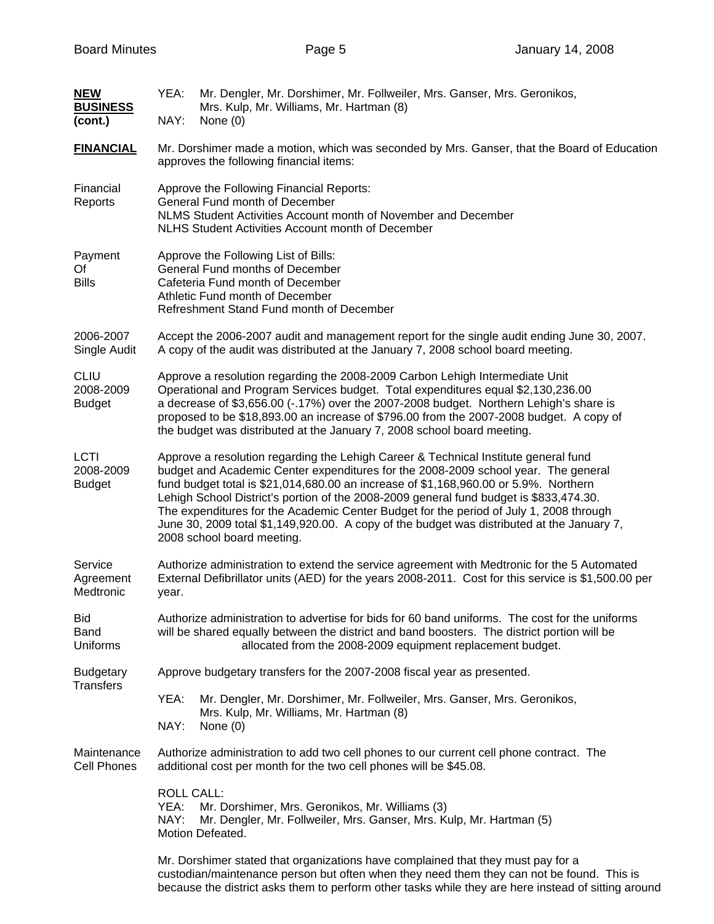| <b>NEW</b><br><b>BUSINESS</b><br>(cont.)  | YEA:<br>NAY:                                                                                                                                                                                                                                                                                                                                                                                                                                                                                                                                                                      | Mr. Dengler, Mr. Dorshimer, Mr. Follweiler, Mrs. Ganser, Mrs. Geronikos,<br>Mrs. Kulp, Mr. Williams, Mr. Hartman (8)<br>None $(0)$                                                                                                                                                   |  |  |  |
|-------------------------------------------|-----------------------------------------------------------------------------------------------------------------------------------------------------------------------------------------------------------------------------------------------------------------------------------------------------------------------------------------------------------------------------------------------------------------------------------------------------------------------------------------------------------------------------------------------------------------------------------|--------------------------------------------------------------------------------------------------------------------------------------------------------------------------------------------------------------------------------------------------------------------------------------|--|--|--|
| <b>FINANCIAL</b>                          | Mr. Dorshimer made a motion, which was seconded by Mrs. Ganser, that the Board of Education<br>approves the following financial items:                                                                                                                                                                                                                                                                                                                                                                                                                                            |                                                                                                                                                                                                                                                                                      |  |  |  |
| Financial<br>Reports                      | Approve the Following Financial Reports:<br>General Fund month of December<br>NLMS Student Activities Account month of November and December<br><b>NLHS Student Activities Account month of December</b>                                                                                                                                                                                                                                                                                                                                                                          |                                                                                                                                                                                                                                                                                      |  |  |  |
| Payment<br>Of<br><b>Bills</b>             | Approve the Following List of Bills:<br>General Fund months of December<br>Cafeteria Fund month of December<br>Athletic Fund month of December<br>Refreshment Stand Fund month of December                                                                                                                                                                                                                                                                                                                                                                                        |                                                                                                                                                                                                                                                                                      |  |  |  |
| 2006-2007<br>Single Audit                 | Accept the 2006-2007 audit and management report for the single audit ending June 30, 2007.<br>A copy of the audit was distributed at the January 7, 2008 school board meeting.                                                                                                                                                                                                                                                                                                                                                                                                   |                                                                                                                                                                                                                                                                                      |  |  |  |
| <b>CLIU</b><br>2008-2009<br><b>Budget</b> | Approve a resolution regarding the 2008-2009 Carbon Lehigh Intermediate Unit<br>Operational and Program Services budget. Total expenditures equal \$2,130,236.00<br>a decrease of \$3,656.00 (-.17%) over the 2007-2008 budget. Northern Lehigh's share is<br>proposed to be \$18,893.00 an increase of \$796.00 from the 2007-2008 budget. A copy of<br>the budget was distributed at the January 7, 2008 school board meeting.                                                                                                                                                  |                                                                                                                                                                                                                                                                                      |  |  |  |
| <b>LCTI</b><br>2008-2009<br><b>Budget</b> | Approve a resolution regarding the Lehigh Career & Technical Institute general fund<br>budget and Academic Center expenditures for the 2008-2009 school year. The general<br>fund budget total is \$21,014,680.00 an increase of \$1,168,960.00 or 5.9%. Northern<br>Lehigh School District's portion of the 2008-2009 general fund budget is \$833,474.30.<br>The expenditures for the Academic Center Budget for the period of July 1, 2008 through<br>June 30, 2009 total \$1,149,920.00. A copy of the budget was distributed at the January 7,<br>2008 school board meeting. |                                                                                                                                                                                                                                                                                      |  |  |  |
| Service<br>Agreement<br>Medtronic         | Authorize administration to extend the service agreement with Medtronic for the 5 Automated<br>External Defibrillator units (AED) for the years 2008-2011. Cost for this service is \$1,500.00 per<br>year.                                                                                                                                                                                                                                                                                                                                                                       |                                                                                                                                                                                                                                                                                      |  |  |  |
| <b>Bid</b><br>Band<br>Uniforms            | Authorize administration to advertise for bids for 60 band uniforms. The cost for the uniforms<br>will be shared equally between the district and band boosters. The district portion will be<br>allocated from the 2008-2009 equipment replacement budget.                                                                                                                                                                                                                                                                                                                       |                                                                                                                                                                                                                                                                                      |  |  |  |
| <b>Budgetary</b><br>Transfers             |                                                                                                                                                                                                                                                                                                                                                                                                                                                                                                                                                                                   | Approve budgetary transfers for the 2007-2008 fiscal year as presented.                                                                                                                                                                                                              |  |  |  |
|                                           | YEA:<br>NAY:                                                                                                                                                                                                                                                                                                                                                                                                                                                                                                                                                                      | Mr. Dengler, Mr. Dorshimer, Mr. Follweiler, Mrs. Ganser, Mrs. Geronikos,<br>Mrs. Kulp, Mr. Williams, Mr. Hartman (8)<br>None $(0)$                                                                                                                                                   |  |  |  |
| Maintenance<br>Cell Phones                |                                                                                                                                                                                                                                                                                                                                                                                                                                                                                                                                                                                   | Authorize administration to add two cell phones to our current cell phone contract. The<br>additional cost per month for the two cell phones will be \$45.08.                                                                                                                        |  |  |  |
|                                           | <b>ROLL CALL:</b><br>Mr. Dorshimer, Mrs. Geronikos, Mr. Williams (3)<br>YEA:<br>NAY:<br>Mr. Dengler, Mr. Follweiler, Mrs. Ganser, Mrs. Kulp, Mr. Hartman (5)<br>Motion Defeated.                                                                                                                                                                                                                                                                                                                                                                                                  |                                                                                                                                                                                                                                                                                      |  |  |  |
|                                           |                                                                                                                                                                                                                                                                                                                                                                                                                                                                                                                                                                                   | Mr. Dorshimer stated that organizations have complained that they must pay for a<br>custodian/maintenance person but often when they need them they can not be found. This is<br>because the district asks them to perform other tasks while they are here instead of sitting around |  |  |  |